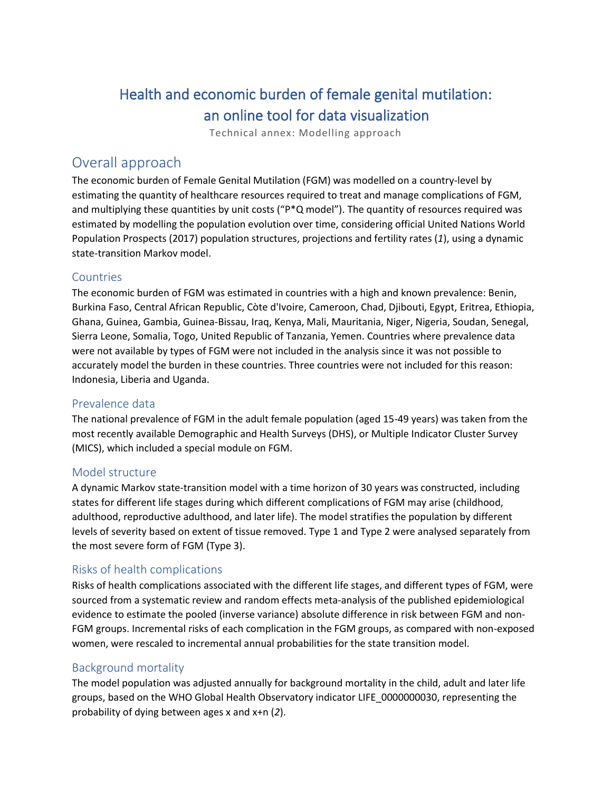# Health and economic burden of female genital mutilation: an online tool for data visualization

Technical annex: Modelling approach

# Overall approach

The economic burden of Female Genital Mutilation (FGM) was modelled on a country-level by estimating the quantity of healthcare resources required to treat and manage complications of FGM, and multiplying these quantities by unit costs ("P\*Q model"). The quantity of resources required was estimated by modelling the population evolution over time, considering official United Nations World Population Prospects (2017) population structures, projections and fertility rates (*1*), using a dynamic state-transition Markov model.

## **Countries**

The economic burden of FGM was estimated in countries with a high and known prevalence: Benin, Burkina Faso, Central African Republic, Còte d'Ivoire, Cameroon, Chad, Djibouti, Egypt, Eritrea, Ethiopia, Ghana, Guinea, Gambia, Guinea-Bissau, Iraq, Kenya, Mali, Mauritania, Niger, Nigeria, Soudan, Senegal, Sierra Leone, Somalia, Togo, United Republic of Tanzania, Yemen. Countries where prevalence data were not available by types of FGM were not included in the analysis since it was not possible to accurately model the burden in these countries. Three countries were not included for this reason: Indonesia, Liberia and Uganda.

## Prevalence data

The national prevalence of FGM in the adult female population (aged 15-49 years) was taken from the most recently available Demographic and Health Surveys (DHS), or Multiple Indicator Cluster Survey (MICS), which included a special module on FGM.

#### Model structure

A dynamic Markov state-transition model with a time horizon of 30 years was constructed, including states for different life stages during which different complications of FGM may arise (childhood, adulthood, reproductive adulthood, and later life). The model stratifies the population by different levels of severity based on extent of tissue removed. Type 1 and Type 2 were analysed separately from the most severe form of FGM (Type 3).

## Risks of health complications

Risks of health complications associated with the different life stages, and different types of FGM, were sourced from a systematic review and random effects meta-analysis of the published epidemiological evidence to estimate the pooled (inverse variance) absolute difference in risk between FGM and non-FGM groups. Incremental risks of each complication in the FGM groups, as compared with non-exposed women, were rescaled to incremental annual probabilities for the state transition model.

## Background mortality

The model population was adjusted annually for background mortality in the child, adult and later life groups, based on the WHO Global Health Observatory indicator LIFE\_0000000030, representing the probability of dying between ages x and x+n (*2*).